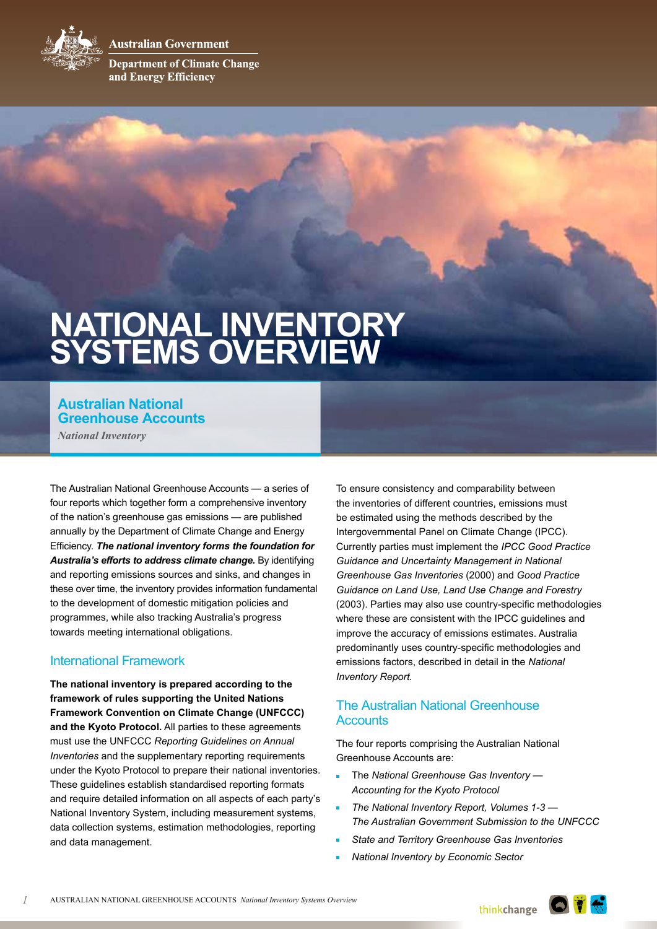Australian Government



**Department of Climate Change** and Energy Efficiency

# **NATIONAL INVENTORY SYSTEMS OVERVIEW**

## **Australian National Greenhouse Accounts**

*National Inventory*

The Australian National Greenhouse Accounts — a series of four reports which together form a comprehensive inventory of the nation's greenhouse gas emissions — are published annually by the Department of Climate Change and Energy Efficiency. *The national inventory forms the foundation for Australia's efforts to address climate change.* By identifying and reporting emissions sources and sinks, and changes in these over time, the inventory provides information fundamental to the development of domestic mitigation policies and programmes, while also tracking Australia's progress towards meeting international obligations.

#### International Framework

**The national inventory is prepared according to the framework of rules supporting the United Nations Framework Convention on Climate Change (UNFCCC) and the Kyoto Protocol.** All parties to these agreements must use the UNFCCC *Reporting Guidelines on Annual Inventories* and the supplementary reporting requirements under the Kyoto Protocol to prepare their national inventories. These guidelines establish standardised reporting formats and require detailed information on all aspects of each party's National Inventory System, including measurement systems, data collection systems, estimation methodologies, reporting and data management.

To ensure consistency and comparability between the inventories of different countries, emissions must be estimated using the methods described by the Intergovernmental Panel on Climate Change (IPCC). Currently parties must implement the *IPCC Good Practice Guidance and Uncertainty Management in National Greenhouse Gas Inventories* (2000) and *Good Practice Guidance on Land Use, Land Use Change and Forestry* (2003). Parties may also use country-specific methodologies where these are consistent with the IPCC guidelines and improve the accuracy of emissions estimates. Australia predominantly uses country-specific methodologies and emissions factors, described in detail in the *National Inventory Report.*

### The Australian National Greenhouse **Accounts**

The four reports comprising the Australian National Greenhouse Accounts are:

- <sup>n</sup> The *National Greenhouse Gas Inventory Accounting for the Kyoto Protocol*
- The National Inventory Report, Volumes 1-3 -*The Australian Government Submission to the UNFCCC*
- **State and Territory Greenhouse Gas Inventories**
- <sup>n</sup> *National Inventory by Economic Sector*

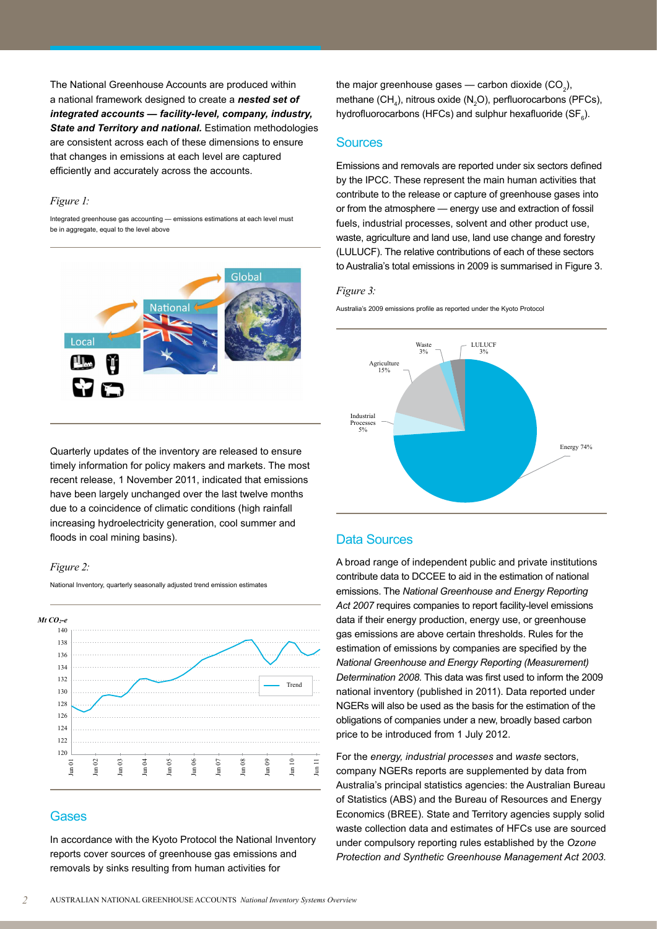The National Greenhouse Accounts are produced within a national framework designed to create a *nested set of integrated accounts — facility-level, company, industry, State and Territory and national.* Estimation methodologies are consistent across each of these dimensions to ensure that changes in emissions at each level are captured efficiently and accurately across the accounts.

#### *Figure 1:*

Integrated greenhouse gas accounting — emissions estimations at each level must be in aggregate, equal to the level above



the major greenhouse gases — carbon dioxide  $(\mathsf{CO}_2)$ , methane  $(CH_4)$ , nitrous oxide  $(N_2O)$ , perfluorocarbons (PFCs), hydrofluorocarbons (HFCs) and sulphur hexafluoride (SF $_{6}$ ).

#### **Sources**

Emissions and removals are reported under six sectors defined by the IPCC. These represent the main human activities that contribute to the release or capture of greenhouse gases into or from the atmosphere — energy use and extraction of fossil fuels, industrial processes, solvent and other product use, waste, agriculture and land use, land use change and forestry (LULUCF). The relative contributions of each of these sectors to Australia's total emissions in 2009 is summarised in Figure 3.

#### *Figure 3:*

Australia's 2009 emissions profile as reported under the Kyoto Protocol



Quarterly updates of the inventory are released to ensure timely information for policy makers and markets. The most recent release, 1 November 2011, indicated that emissions have been largely unchanged over the last twelve months due to a coincidence of climatic conditions (high rainfall increasing hydroelectricity generation, cool summer and floods in coal mining basins).

National Inventory, quarterly seasonally adjusted trend emission estimates

#### *Figure 2:*

140 138 136 134 132 130 128 126 124 122 120 Jun 01 Jun 02 Jun 03 Jun 04 Jun 05 Jun 06 Jun 07 Jun 08 Jun 09 Jun 10 Jun 11 Trend  $Mt$   $CO<sub>2</sub>$ - $e$ 

#### Gases

In accordance with the Kyoto Protocol the National Inventory reports cover sources of greenhouse gas emissions and removals by sinks resulting from human activities for

#### Data Sources

A broad range of independent public and private institutions contribute data to DCCEE to aid in the estimation of national emissions. The *National Greenhouse and Energy Reporting Act 2007* requires companies to report facility-level emissions data if their energy production, energy use, or greenhouse gas emissions are above certain thresholds. Rules for the estimation of emissions by companies are specified by the *National Greenhouse and Energy Reporting (Measurement) Determination 2008.* This data was first used to inform the 2009 national inventory (published in 2011). Data reported under NGERs will also be used as the basis for the estimation of the obligations of companies under a new, broadly based carbon price to be introduced from 1 July 2012.

For the *energy, industrial processes* and *waste* sectors, company NGERs reports are supplemented by data from Australia's principal statistics agencies: the Australian Bureau of Statistics (ABS) and the Bureau of Resources and Energy Economics (BREE). State and Territory agencies supply solid waste collection data and estimates of HFCs use are sourced under compulsory reporting rules established by the *Ozone Protection and Synthetic Greenhouse Management Act 2003.*